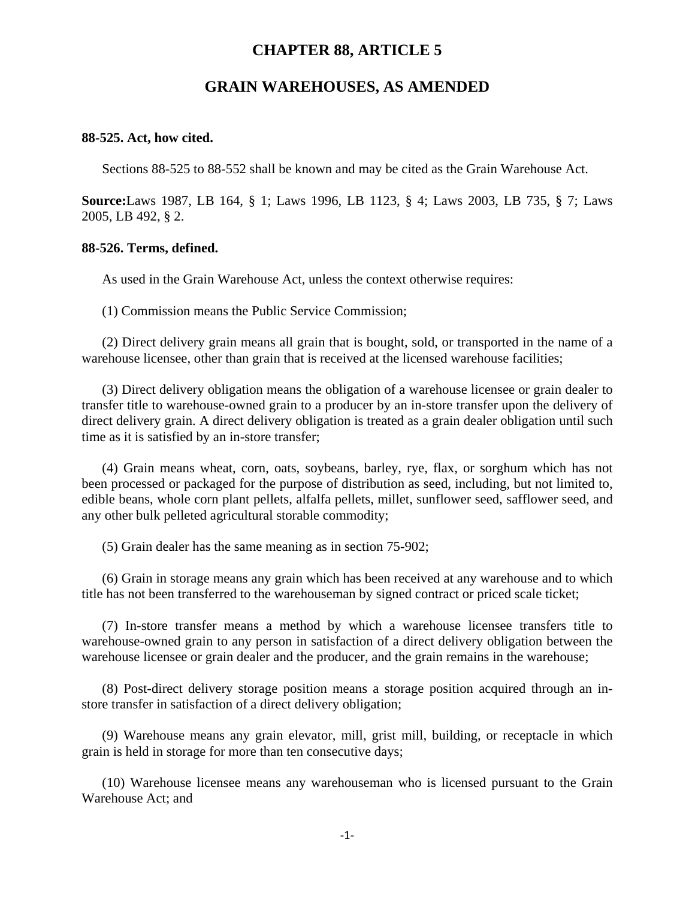# **CHAPTER 88, ARTICLE 5**

# **GRAIN WAREHOUSES, AS AMENDED**

### **88-525. Act, how cited.**

Sections 88-525 to 88-552 shall be known and may be cited as the Grain Warehouse Act.

**Source:**Laws 1987, LB 164, § 1; Laws 1996, LB 1123, § 4; Laws 2003, LB 735, § 7; Laws 2005, LB 492, § 2.

#### **88-526. Terms, defined.**

As used in the Grain Warehouse Act, unless the context otherwise requires:

(1) Commission means the Public Service Commission;

(2) Direct delivery grain means all grain that is bought, sold, or transported in the name of a warehouse licensee, other than grain that is received at the licensed warehouse facilities;

(3) Direct delivery obligation means the obligation of a warehouse licensee or grain dealer to transfer title to warehouse-owned grain to a producer by an in-store transfer upon the delivery of direct delivery grain. A direct delivery obligation is treated as a grain dealer obligation until such time as it is satisfied by an in-store transfer;

(4) Grain means wheat, corn, oats, soybeans, barley, rye, flax, or sorghum which has not been processed or packaged for the purpose of distribution as seed, including, but not limited to, edible beans, whole corn plant pellets, alfalfa pellets, millet, sunflower seed, safflower seed, and any other bulk pelleted agricultural storable commodity;

(5) Grain dealer has the same meaning as in section 75-902;

(6) Grain in storage means any grain which has been received at any warehouse and to which title has not been transferred to the warehouseman by signed contract or priced scale ticket;

(7) In-store transfer means a method by which a warehouse licensee transfers title to warehouse-owned grain to any person in satisfaction of a direct delivery obligation between the warehouse licensee or grain dealer and the producer, and the grain remains in the warehouse;

(8) Post-direct delivery storage position means a storage position acquired through an instore transfer in satisfaction of a direct delivery obligation;

(9) Warehouse means any grain elevator, mill, grist mill, building, or receptacle in which grain is held in storage for more than ten consecutive days;

(10) Warehouse licensee means any warehouseman who is licensed pursuant to the Grain Warehouse Act; and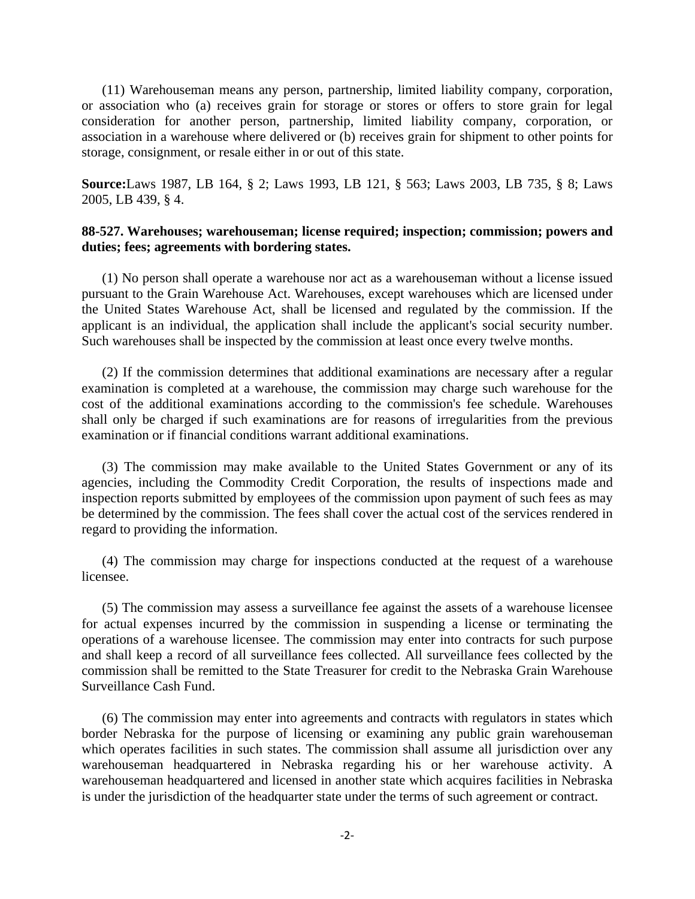(11) Warehouseman means any person, partnership, limited liability company, corporation, or association who (a) receives grain for storage or stores or offers to store grain for legal consideration for another person, partnership, limited liability company, corporation, or association in a warehouse where delivered or (b) receives grain for shipment to other points for storage, consignment, or resale either in or out of this state.

**Source:**Laws 1987, LB 164, § 2; Laws 1993, LB 121, § 563; Laws 2003, LB 735, § 8; Laws 2005, LB 439, § 4.

# **88-527. Warehouses; warehouseman; license required; inspection; commission; powers and duties; fees; agreements with bordering states.**

(1) No person shall operate a warehouse nor act as a warehouseman without a license issued pursuant to the Grain Warehouse Act. Warehouses, except warehouses which are licensed under the United States Warehouse Act, shall be licensed and regulated by the commission. If the applicant is an individual, the application shall include the applicant's social security number. Such warehouses shall be inspected by the commission at least once every twelve months.

(2) If the commission determines that additional examinations are necessary after a regular examination is completed at a warehouse, the commission may charge such warehouse for the cost of the additional examinations according to the commission's fee schedule. Warehouses shall only be charged if such examinations are for reasons of irregularities from the previous examination or if financial conditions warrant additional examinations.

(3) The commission may make available to the United States Government or any of its agencies, including the Commodity Credit Corporation, the results of inspections made and inspection reports submitted by employees of the commission upon payment of such fees as may be determined by the commission. The fees shall cover the actual cost of the services rendered in regard to providing the information.

(4) The commission may charge for inspections conducted at the request of a warehouse licensee.

(5) The commission may assess a surveillance fee against the assets of a warehouse licensee for actual expenses incurred by the commission in suspending a license or terminating the operations of a warehouse licensee. The commission may enter into contracts for such purpose and shall keep a record of all surveillance fees collected. All surveillance fees collected by the commission shall be remitted to the State Treasurer for credit to the Nebraska Grain Warehouse Surveillance Cash Fund.

(6) The commission may enter into agreements and contracts with regulators in states which border Nebraska for the purpose of licensing or examining any public grain warehouseman which operates facilities in such states. The commission shall assume all jurisdiction over any warehouseman headquartered in Nebraska regarding his or her warehouse activity. A warehouseman headquartered and licensed in another state which acquires facilities in Nebraska is under the jurisdiction of the headquarter state under the terms of such agreement or contract.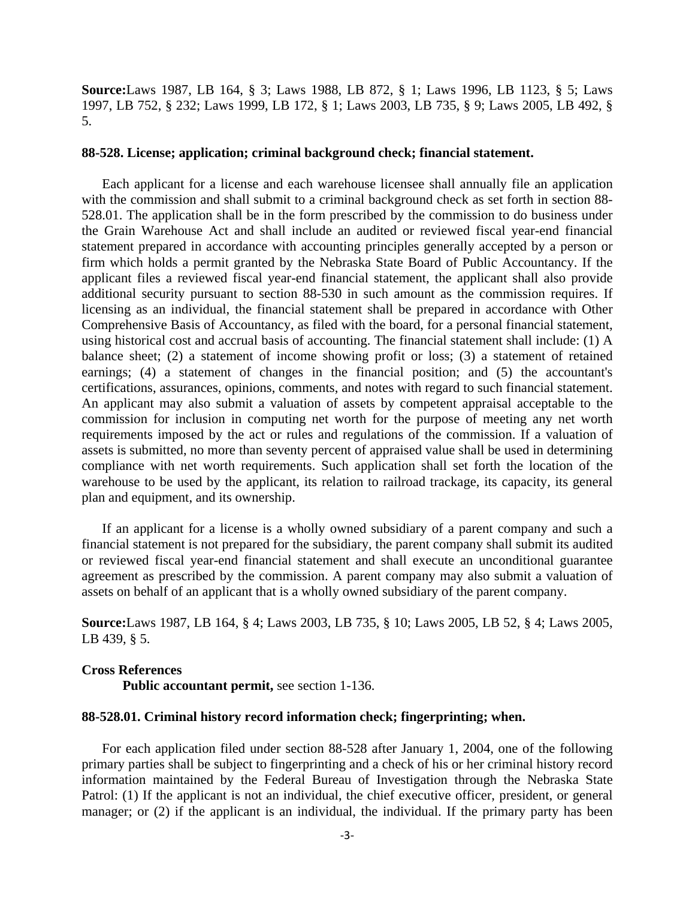**Source:**Laws 1987, LB 164, § 3; Laws 1988, LB 872, § 1; Laws 1996, LB 1123, § 5; Laws 1997, LB 752, § 232; Laws 1999, LB 172, § 1; Laws 2003, LB 735, § 9; Laws 2005, LB 492, § 5.

## **88-528. License; application; criminal background check; financial statement.**

Each applicant for a license and each warehouse licensee shall annually file an application with the commission and shall submit to a criminal background check as set forth in section 88- 528.01. The application shall be in the form prescribed by the commission to do business under the Grain Warehouse Act and shall include an audited or reviewed fiscal year-end financial statement prepared in accordance with accounting principles generally accepted by a person or firm which holds a permit granted by the Nebraska State Board of Public Accountancy. If the applicant files a reviewed fiscal year-end financial statement, the applicant shall also provide additional security pursuant to section 88-530 in such amount as the commission requires. If licensing as an individual, the financial statement shall be prepared in accordance with Other Comprehensive Basis of Accountancy, as filed with the board, for a personal financial statement, using historical cost and accrual basis of accounting. The financial statement shall include: (1) A balance sheet; (2) a statement of income showing profit or loss; (3) a statement of retained earnings; (4) a statement of changes in the financial position; and (5) the accountant's certifications, assurances, opinions, comments, and notes with regard to such financial statement. An applicant may also submit a valuation of assets by competent appraisal acceptable to the commission for inclusion in computing net worth for the purpose of meeting any net worth requirements imposed by the act or rules and regulations of the commission. If a valuation of assets is submitted, no more than seventy percent of appraised value shall be used in determining compliance with net worth requirements. Such application shall set forth the location of the warehouse to be used by the applicant, its relation to railroad trackage, its capacity, its general plan and equipment, and its ownership.

If an applicant for a license is a wholly owned subsidiary of a parent company and such a financial statement is not prepared for the subsidiary, the parent company shall submit its audited or reviewed fiscal year-end financial statement and shall execute an unconditional guarantee agreement as prescribed by the commission. A parent company may also submit a valuation of assets on behalf of an applicant that is a wholly owned subsidiary of the parent company.

**Source:**Laws 1987, LB 164, § 4; Laws 2003, LB 735, § 10; Laws 2005, LB 52, § 4; Laws 2005, LB 439, § 5.

# **Cross References Public accountant permit,** see section 1-136.

## **88-528.01. Criminal history record information check; fingerprinting; when.**

For each application filed under section 88-528 after January 1, 2004, one of the following primary parties shall be subject to fingerprinting and a check of his or her criminal history record information maintained by the Federal Bureau of Investigation through the Nebraska State Patrol: (1) If the applicant is not an individual, the chief executive officer, president, or general manager; or (2) if the applicant is an individual, the individual. If the primary party has been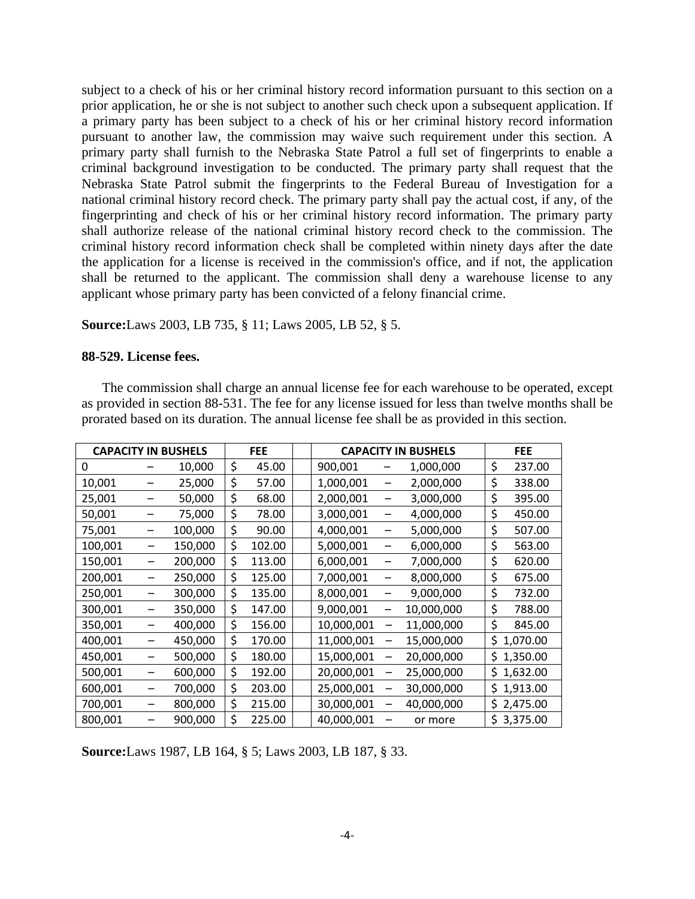subject to a check of his or her criminal history record information pursuant to this section on a prior application, he or she is not subject to another such check upon a subsequent application. If a primary party has been subject to a check of his or her criminal history record information pursuant to another law, the commission may waive such requirement under this section. A primary party shall furnish to the Nebraska State Patrol a full set of fingerprints to enable a criminal background investigation to be conducted. The primary party shall request that the Nebraska State Patrol submit the fingerprints to the Federal Bureau of Investigation for a national criminal history record check. The primary party shall pay the actual cost, if any, of the fingerprinting and check of his or her criminal history record information. The primary party shall authorize release of the national criminal history record check to the commission. The criminal history record information check shall be completed within ninety days after the date the application for a license is received in the commission's office, and if not, the application shall be returned to the applicant. The commission shall deny a warehouse license to any applicant whose primary party has been convicted of a felony financial crime.

**Source:**Laws 2003, LB 735, § 11; Laws 2005, LB 52, § 5.

## **88-529. License fees.**

The commission shall charge an annual license fee for each warehouse to be operated, except as provided in section 88-531. The fee for any license issued for less than twelve months shall be prorated based on its duration. The annual license fee shall be as provided in this section.

| <b>CAPACITY IN BUSHELS</b> |                          |         | <b>FEE</b> |        | <b>CAPACITY IN BUSHELS</b> |                              | <b>FEE</b> |    |          |
|----------------------------|--------------------------|---------|------------|--------|----------------------------|------------------------------|------------|----|----------|
| 0                          |                          | 10,000  | \$         | 45.00  | 900,001                    |                              | 1,000,000  | \$ | 237.00   |
| 10,001                     |                          | 25,000  | \$         | 57.00  | 1,000,001                  | $\qquad \qquad \blacksquare$ | 2,000,000  | \$ | 338.00   |
| 25,001                     |                          | 50,000  | \$         | 68.00  | 2,000,001                  | —                            | 3,000,000  | \$ | 395.00   |
| 50,001                     |                          | 75,000  | \$         | 78.00  | 3,000,001                  |                              | 4,000,000  | \$ | 450.00   |
| 75,001                     | $\overline{\phantom{m}}$ | 100,000 | \$         | 90.00  | 4,000,001                  | $\qquad \qquad -$            | 5,000,000  | \$ | 507.00   |
| 100,001                    |                          | 150,000 | \$         | 102.00 | 5,000,001                  | —                            | 6,000,000  | \$ | 563.00   |
| 150,001                    | —                        | 200,000 | \$         | 113.00 | 6,000,001                  | —                            | 7,000,000  | \$ | 620.00   |
| 200,001                    |                          | 250,000 | \$         | 125.00 | 7,000,001                  | —                            | 8,000,000  | \$ | 675.00   |
| 250,001                    |                          | 300,000 | \$         | 135.00 | 8,000,001                  | $\qquad \qquad \qquad$       | 9,000,000  | \$ | 732.00   |
| 300,001                    |                          | 350,000 | \$         | 147.00 | 9,000,001                  | $\overline{\phantom{0}}$     | 10,000,000 | \$ | 788.00   |
| 350,001                    |                          | 400,000 | \$         | 156.00 | 10,000,001                 | $\overline{\phantom{0}}$     | 11,000,000 | \$ | 845.00   |
| 400,001                    |                          | 450,000 | \$         | 170.00 | 11,000,001                 | —                            | 15,000,000 | \$ | 1,070.00 |
| 450,001                    |                          | 500,000 | \$         | 180.00 | 15,000,001                 | —                            | 20,000,000 | \$ | 1,350.00 |
| 500,001                    |                          | 600,000 | \$         | 192.00 | 20,000,001                 | —                            | 25,000,000 | \$ | 1,632.00 |
| 600,001                    |                          | 700,000 | \$         | 203.00 | 25,000,001                 | —                            | 30,000,000 | \$ | 1,913.00 |
| 700,001                    |                          | 800,000 | \$         | 215.00 | 30,000,001                 | —                            | 40,000,000 | \$ | 2,475.00 |
| 800,001                    |                          | 900,000 | \$         | 225.00 | 40,000,001                 |                              | or more    | \$ | 3,375.00 |

**Source:**Laws 1987, LB 164, § 5; Laws 2003, LB 187, § 33.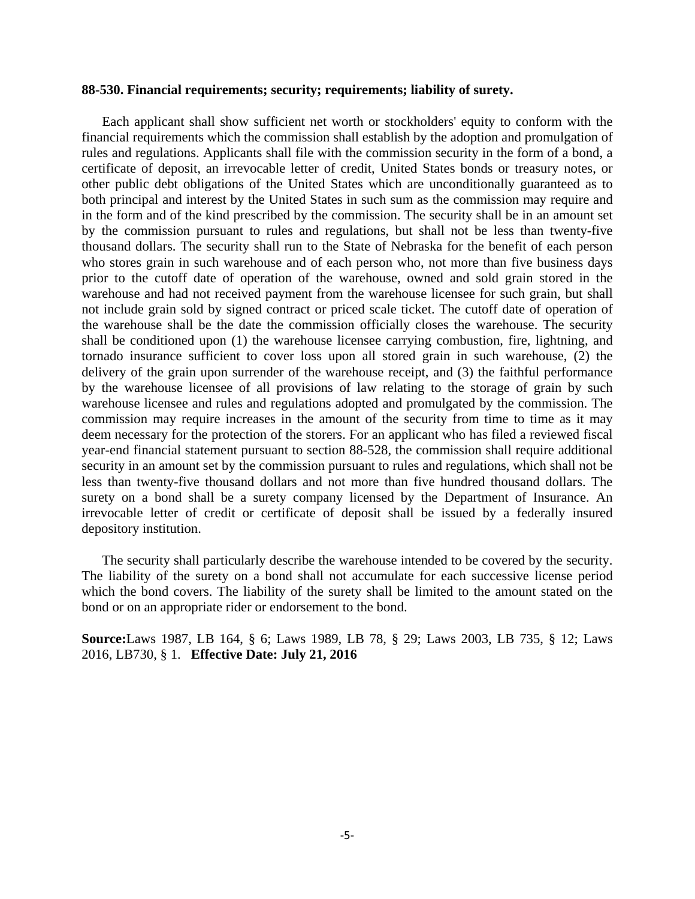## **88-530. Financial requirements; security; requirements; liability of surety.**

Each applicant shall show sufficient net worth or stockholders' equity to conform with the financial requirements which the commission shall establish by the adoption and promulgation of rules and regulations. Applicants shall file with the commission security in the form of a bond, a certificate of deposit, an irrevocable letter of credit, United States bonds or treasury notes, or other public debt obligations of the United States which are unconditionally guaranteed as to both principal and interest by the United States in such sum as the commission may require and in the form and of the kind prescribed by the commission. The security shall be in an amount set by the commission pursuant to rules and regulations, but shall not be less than twenty-five thousand dollars. The security shall run to the State of Nebraska for the benefit of each person who stores grain in such warehouse and of each person who, not more than five business days prior to the cutoff date of operation of the warehouse, owned and sold grain stored in the warehouse and had not received payment from the warehouse licensee for such grain, but shall not include grain sold by signed contract or priced scale ticket. The cutoff date of operation of the warehouse shall be the date the commission officially closes the warehouse. The security shall be conditioned upon (1) the warehouse licensee carrying combustion, fire, lightning, and tornado insurance sufficient to cover loss upon all stored grain in such warehouse, (2) the delivery of the grain upon surrender of the warehouse receipt, and (3) the faithful performance by the warehouse licensee of all provisions of law relating to the storage of grain by such warehouse licensee and rules and regulations adopted and promulgated by the commission. The commission may require increases in the amount of the security from time to time as it may deem necessary for the protection of the storers. For an applicant who has filed a reviewed fiscal year-end financial statement pursuant to section 88-528, the commission shall require additional security in an amount set by the commission pursuant to rules and regulations, which shall not be less than twenty-five thousand dollars and not more than five hundred thousand dollars. The surety on a bond shall be a surety company licensed by the Department of Insurance. An irrevocable letter of credit or certificate of deposit shall be issued by a federally insured depository institution.

The security shall particularly describe the warehouse intended to be covered by the security. The liability of the surety on a bond shall not accumulate for each successive license period which the bond covers. The liability of the surety shall be limited to the amount stated on the bond or on an appropriate rider or endorsement to the bond.

**Source:**Laws 1987, LB 164, § 6; Laws 1989, LB 78, § 29; Laws 2003, LB 735, § 12; Laws 2016, LB730, § 1. **Effective Date: July 21, 2016**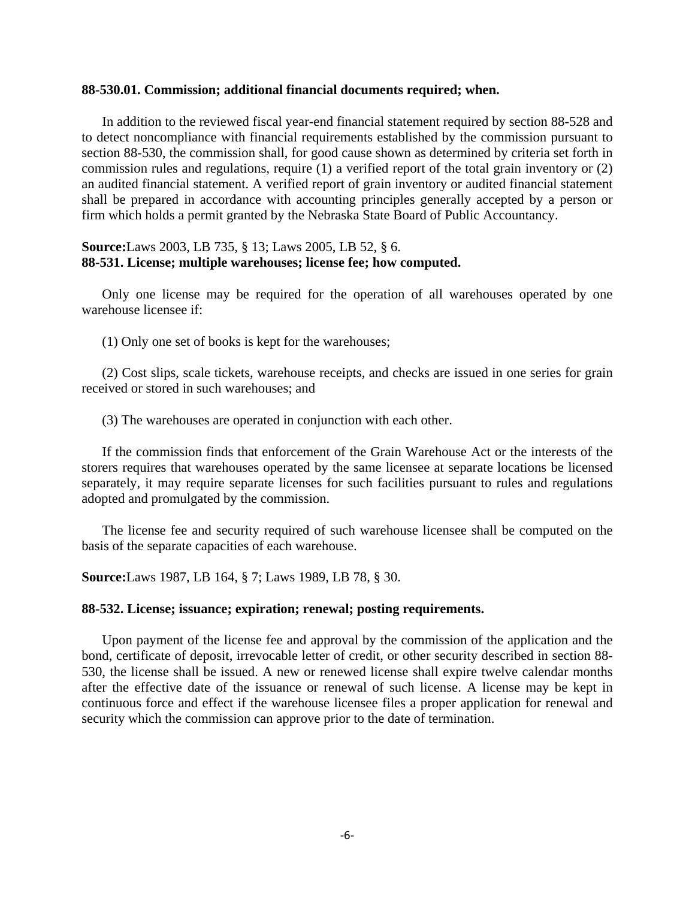#### **88-530.01. Commission; additional financial documents required; when.**

In addition to the reviewed fiscal year-end financial statement required by section 88-528 and to detect noncompliance with financial requirements established by the commission pursuant to section 88-530, the commission shall, for good cause shown as determined by criteria set forth in commission rules and regulations, require (1) a verified report of the total grain inventory or (2) an audited financial statement. A verified report of grain inventory or audited financial statement shall be prepared in accordance with accounting principles generally accepted by a person or firm which holds a permit granted by the Nebraska State Board of Public Accountancy.

# **Source:**Laws 2003, LB 735, § 13; Laws 2005, LB 52, § 6. **88-531. License; multiple warehouses; license fee; how computed.**

Only one license may be required for the operation of all warehouses operated by one warehouse licensee if:

(1) Only one set of books is kept for the warehouses;

(2) Cost slips, scale tickets, warehouse receipts, and checks are issued in one series for grain received or stored in such warehouses; and

(3) The warehouses are operated in conjunction with each other.

If the commission finds that enforcement of the Grain Warehouse Act or the interests of the storers requires that warehouses operated by the same licensee at separate locations be licensed separately, it may require separate licenses for such facilities pursuant to rules and regulations adopted and promulgated by the commission.

The license fee and security required of such warehouse licensee shall be computed on the basis of the separate capacities of each warehouse.

**Source:**Laws 1987, LB 164, § 7; Laws 1989, LB 78, § 30.

## **88-532. License; issuance; expiration; renewal; posting requirements.**

Upon payment of the license fee and approval by the commission of the application and the bond, certificate of deposit, irrevocable letter of credit, or other security described in section 88- 530, the license shall be issued. A new or renewed license shall expire twelve calendar months after the effective date of the issuance or renewal of such license. A license may be kept in continuous force and effect if the warehouse licensee files a proper application for renewal and security which the commission can approve prior to the date of termination.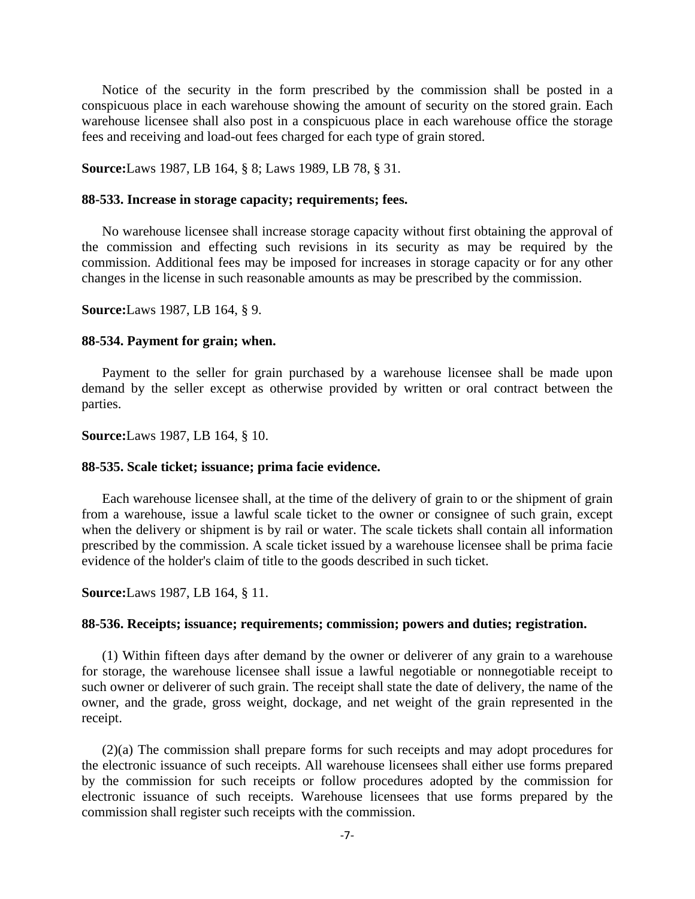Notice of the security in the form prescribed by the commission shall be posted in a conspicuous place in each warehouse showing the amount of security on the stored grain. Each warehouse licensee shall also post in a conspicuous place in each warehouse office the storage fees and receiving and load-out fees charged for each type of grain stored.

**Source:**Laws 1987, LB 164, § 8; Laws 1989, LB 78, § 31.

## **88-533. Increase in storage capacity; requirements; fees.**

No warehouse licensee shall increase storage capacity without first obtaining the approval of the commission and effecting such revisions in its security as may be required by the commission. Additional fees may be imposed for increases in storage capacity or for any other changes in the license in such reasonable amounts as may be prescribed by the commission.

**Source:**Laws 1987, LB 164, § 9.

#### **88-534. Payment for grain; when.**

Payment to the seller for grain purchased by a warehouse licensee shall be made upon demand by the seller except as otherwise provided by written or oral contract between the parties.

**Source:**Laws 1987, LB 164, § 10.

#### **88-535. Scale ticket; issuance; prima facie evidence.**

Each warehouse licensee shall, at the time of the delivery of grain to or the shipment of grain from a warehouse, issue a lawful scale ticket to the owner or consignee of such grain, except when the delivery or shipment is by rail or water. The scale tickets shall contain all information prescribed by the commission. A scale ticket issued by a warehouse licensee shall be prima facie evidence of the holder's claim of title to the goods described in such ticket.

**Source:**Laws 1987, LB 164, § 11.

## **88-536. Receipts; issuance; requirements; commission; powers and duties; registration.**

(1) Within fifteen days after demand by the owner or deliverer of any grain to a warehouse for storage, the warehouse licensee shall issue a lawful negotiable or nonnegotiable receipt to such owner or deliverer of such grain. The receipt shall state the date of delivery, the name of the owner, and the grade, gross weight, dockage, and net weight of the grain represented in the receipt.

(2)(a) The commission shall prepare forms for such receipts and may adopt procedures for the electronic issuance of such receipts. All warehouse licensees shall either use forms prepared by the commission for such receipts or follow procedures adopted by the commission for electronic issuance of such receipts. Warehouse licensees that use forms prepared by the commission shall register such receipts with the commission.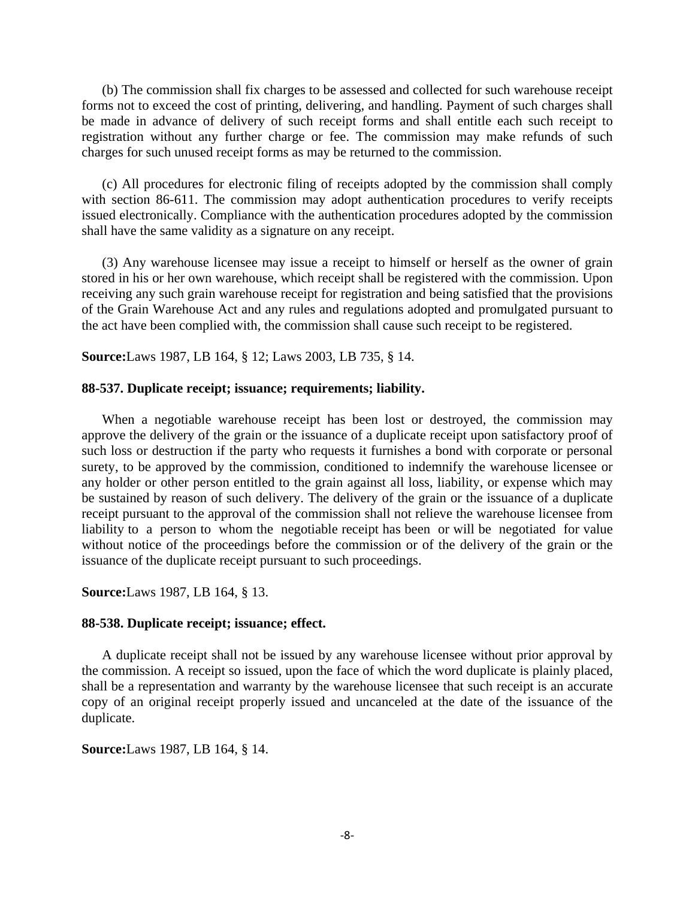(b) The commission shall fix charges to be assessed and collected for such warehouse receipt forms not to exceed the cost of printing, delivering, and handling. Payment of such charges shall be made in advance of delivery of such receipt forms and shall entitle each such receipt to registration without any further charge or fee. The commission may make refunds of such charges for such unused receipt forms as may be returned to the commission.

(c) All procedures for electronic filing of receipts adopted by the commission shall comply with section 86-611. The commission may adopt authentication procedures to verify receipts issued electronically. Compliance with the authentication procedures adopted by the commission shall have the same validity as a signature on any receipt.

(3) Any warehouse licensee may issue a receipt to himself or herself as the owner of grain stored in his or her own warehouse, which receipt shall be registered with the commission. Upon receiving any such grain warehouse receipt for registration and being satisfied that the provisions of the Grain Warehouse Act and any rules and regulations adopted and promulgated pursuant to the act have been complied with, the commission shall cause such receipt to be registered.

**Source:**Laws 1987, LB 164, § 12; Laws 2003, LB 735, § 14.

### **88-537. Duplicate receipt; issuance; requirements; liability.**

When a negotiable warehouse receipt has been lost or destroyed, the commission may approve the delivery of the grain or the issuance of a duplicate receipt upon satisfactory proof of such loss or destruction if the party who requests it furnishes a bond with corporate or personal surety, to be approved by the commission, conditioned to indemnify the warehouse licensee or any holder or other person entitled to the grain against all loss, liability, or expense which may be sustained by reason of such delivery. The delivery of the grain or the issuance of a duplicate receipt pursuant to the approval of the commission shall not relieve the warehouse licensee from liability to a person to whom the negotiable receipt has been or will be negotiated for value without notice of the proceedings before the commission or of the delivery of the grain or the issuance of the duplicate receipt pursuant to such proceedings.

## **Source:**Laws 1987, LB 164, § 13.

#### **88-538. Duplicate receipt; issuance; effect.**

A duplicate receipt shall not be issued by any warehouse licensee without prior approval by the commission. A receipt so issued, upon the face of which the word duplicate is plainly placed, shall be a representation and warranty by the warehouse licensee that such receipt is an accurate copy of an original receipt properly issued and uncanceled at the date of the issuance of the duplicate.

## **Source:**Laws 1987, LB 164, § 14.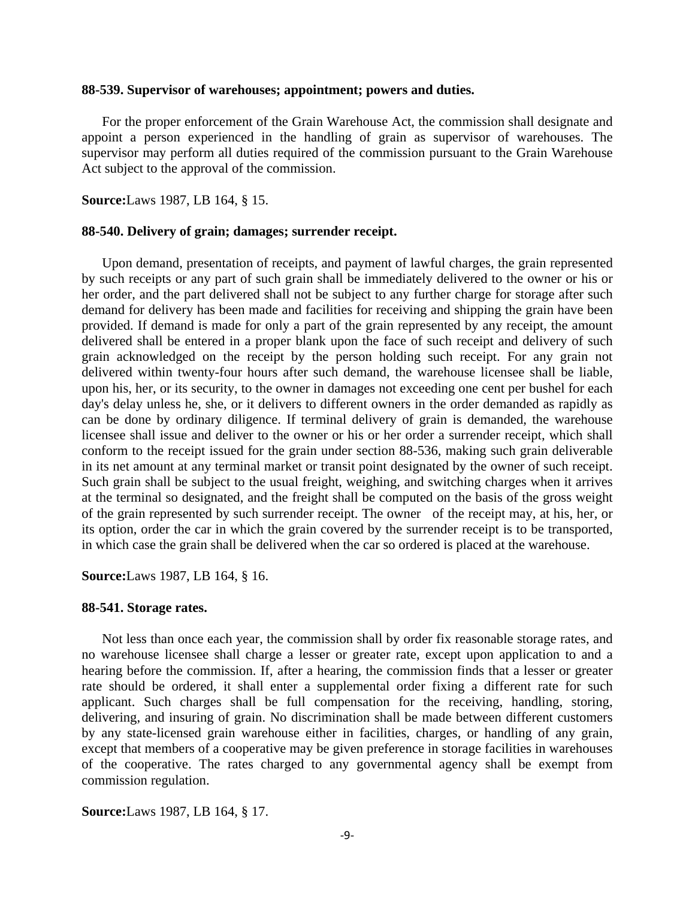# **88-539. Supervisor of warehouses; appointment; powers and duties.**

For the proper enforcement of the Grain Warehouse Act, the commission shall designate and appoint a person experienced in the handling of grain as supervisor of warehouses. The supervisor may perform all duties required of the commission pursuant to the Grain Warehouse Act subject to the approval of the commission.

**Source:**Laws 1987, LB 164, § 15.

## **88-540. Delivery of grain; damages; surrender receipt.**

Upon demand, presentation of receipts, and payment of lawful charges, the grain represented by such receipts or any part of such grain shall be immediately delivered to the owner or his or her order, and the part delivered shall not be subject to any further charge for storage after such demand for delivery has been made and facilities for receiving and shipping the grain have been provided. If demand is made for only a part of the grain represented by any receipt, the amount delivered shall be entered in a proper blank upon the face of such receipt and delivery of such grain acknowledged on the receipt by the person holding such receipt. For any grain not delivered within twenty-four hours after such demand, the warehouse licensee shall be liable, upon his, her, or its security, to the owner in damages not exceeding one cent per bushel for each day's delay unless he, she, or it delivers to different owners in the order demanded as rapidly as can be done by ordinary diligence. If terminal delivery of grain is demanded, the warehouse licensee shall issue and deliver to the owner or his or her order a surrender receipt, which shall conform to the receipt issued for the grain under section 88-536, making such grain deliverable in its net amount at any terminal market or transit point designated by the owner of such receipt. Such grain shall be subject to the usual freight, weighing, and switching charges when it arrives at the terminal so designated, and the freight shall be computed on the basis of the gross weight of the grain represented by such surrender receipt. The owner of the receipt may, at his, her, or its option, order the car in which the grain covered by the surrender receipt is to be transported, in which case the grain shall be delivered when the car so ordered is placed at the warehouse.

**Source:**Laws 1987, LB 164, § 16.

#### **88-541. Storage rates.**

Not less than once each year, the commission shall by order fix reasonable storage rates, and no warehouse licensee shall charge a lesser or greater rate, except upon application to and a hearing before the commission. If, after a hearing, the commission finds that a lesser or greater rate should be ordered, it shall enter a supplemental order fixing a different rate for such applicant. Such charges shall be full compensation for the receiving, handling, storing, delivering, and insuring of grain. No discrimination shall be made between different customers by any state-licensed grain warehouse either in facilities, charges, or handling of any grain, except that members of a cooperative may be given preference in storage facilities in warehouses of the cooperative. The rates charged to any governmental agency shall be exempt from commission regulation.

**Source:**Laws 1987, LB 164, § 17.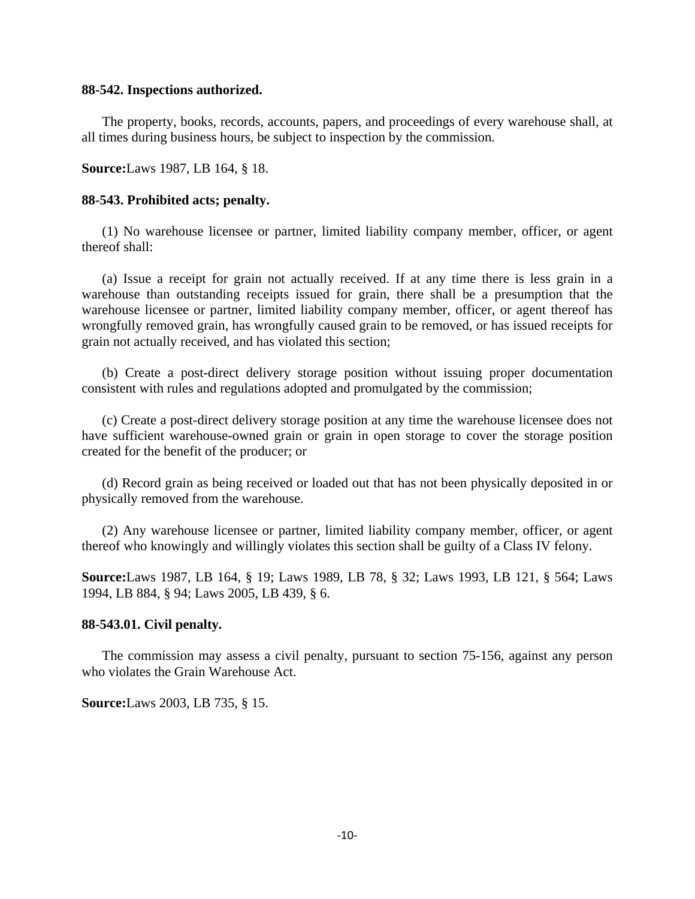#### **88-542. Inspections authorized.**

The property, books, records, accounts, papers, and proceedings of every warehouse shall, at all times during business hours, be subject to inspection by the commission.

**Source:**Laws 1987, LB 164, § 18.

## **88-543. Prohibited acts; penalty.**

(1) No warehouse licensee or partner, limited liability company member, officer, or agent thereof shall:

(a) Issue a receipt for grain not actually received. If at any time there is less grain in a warehouse than outstanding receipts issued for grain, there shall be a presumption that the warehouse licensee or partner, limited liability company member, officer, or agent thereof has wrongfully removed grain, has wrongfully caused grain to be removed, or has issued receipts for grain not actually received, and has violated this section;

(b) Create a post-direct delivery storage position without issuing proper documentation consistent with rules and regulations adopted and promulgated by the commission;

(c) Create a post-direct delivery storage position at any time the warehouse licensee does not have sufficient warehouse-owned grain or grain in open storage to cover the storage position created for the benefit of the producer; or

(d) Record grain as being received or loaded out that has not been physically deposited in or physically removed from the warehouse.

(2) Any warehouse licensee or partner, limited liability company member, officer, or agent thereof who knowingly and willingly violates this section shall be guilty of a Class IV felony.

**Source:**Laws 1987, LB 164, § 19; Laws 1989, LB 78, § 32; Laws 1993, LB 121, § 564; Laws 1994, LB 884, § 94; Laws 2005, LB 439, § 6.

## **88-543.01. Civil penalty.**

The commission may assess a civil penalty, pursuant to section 75-156, against any person who violates the Grain Warehouse Act.

#### **Source:**Laws 2003, LB 735, § 15.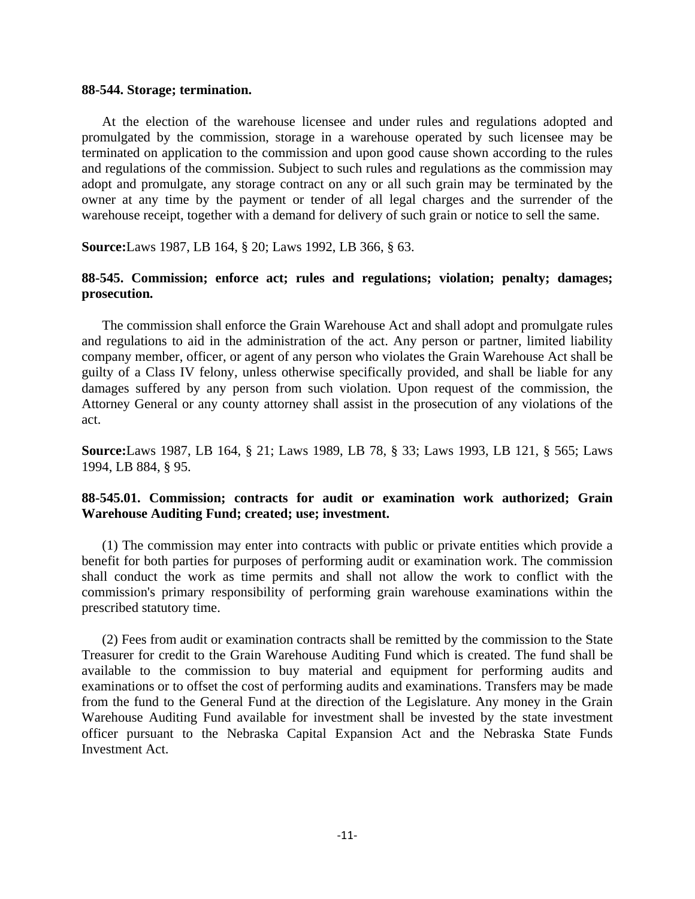#### **88-544. Storage; termination.**

At the election of the warehouse licensee and under rules and regulations adopted and promulgated by the commission, storage in a warehouse operated by such licensee may be terminated on application to the commission and upon good cause shown according to the rules and regulations of the commission. Subject to such rules and regulations as the commission may adopt and promulgate, any storage contract on any or all such grain may be terminated by the owner at any time by the payment or tender of all legal charges and the surrender of the warehouse receipt, together with a demand for delivery of such grain or notice to sell the same.

**Source:**Laws 1987, LB 164, § 20; Laws 1992, LB 366, § 63.

# **88-545. Commission; enforce act; rules and regulations; violation; penalty; damages; prosecution.**

The commission shall enforce the Grain Warehouse Act and shall adopt and promulgate rules and regulations to aid in the administration of the act. Any person or partner, limited liability company member, officer, or agent of any person who violates the Grain Warehouse Act shall be guilty of a Class IV felony, unless otherwise specifically provided, and shall be liable for any damages suffered by any person from such violation. Upon request of the commission, the Attorney General or any county attorney shall assist in the prosecution of any violations of the act.

**Source:**Laws 1987, LB 164, § 21; Laws 1989, LB 78, § 33; Laws 1993, LB 121, § 565; Laws 1994, LB 884, § 95.

# **88-545.01. Commission; contracts for audit or examination work authorized; Grain Warehouse Auditing Fund; created; use; investment.**

(1) The commission may enter into contracts with public or private entities which provide a benefit for both parties for purposes of performing audit or examination work. The commission shall conduct the work as time permits and shall not allow the work to conflict with the commission's primary responsibility of performing grain warehouse examinations within the prescribed statutory time.

(2) Fees from audit or examination contracts shall be remitted by the commission to the State Treasurer for credit to the Grain Warehouse Auditing Fund which is created. The fund shall be available to the commission to buy material and equipment for performing audits and examinations or to offset the cost of performing audits and examinations. Transfers may be made from the fund to the General Fund at the direction of the Legislature. Any money in the Grain Warehouse Auditing Fund available for investment shall be invested by the state investment officer pursuant to the Nebraska Capital Expansion Act and the Nebraska State Funds Investment Act.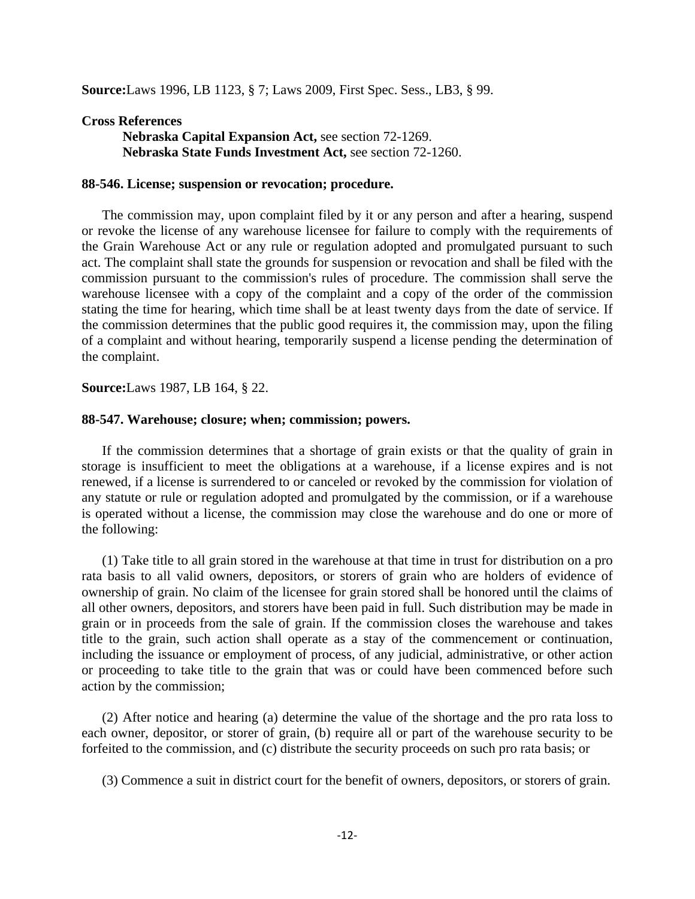**Source:**Laws 1996, LB 1123, § 7; Laws 2009, First Spec. Sess., LB3, § 99.

## **Cross References**

**Nebraska Capital Expansion Act,** see section 72-1269. **Nebraska State Funds Investment Act,** see section 72-1260.

## **88-546. License; suspension or revocation; procedure.**

The commission may, upon complaint filed by it or any person and after a hearing, suspend or revoke the license of any warehouse licensee for failure to comply with the requirements of the Grain Warehouse Act or any rule or regulation adopted and promulgated pursuant to such act. The complaint shall state the grounds for suspension or revocation and shall be filed with the commission pursuant to the commission's rules of procedure. The commission shall serve the warehouse licensee with a copy of the complaint and a copy of the order of the commission stating the time for hearing, which time shall be at least twenty days from the date of service. If the commission determines that the public good requires it, the commission may, upon the filing of a complaint and without hearing, temporarily suspend a license pending the determination of the complaint.

## **Source:**Laws 1987, LB 164, § 22.

## **88-547. Warehouse; closure; when; commission; powers.**

If the commission determines that a shortage of grain exists or that the quality of grain in storage is insufficient to meet the obligations at a warehouse, if a license expires and is not renewed, if a license is surrendered to or canceled or revoked by the commission for violation of any statute or rule or regulation adopted and promulgated by the commission, or if a warehouse is operated without a license, the commission may close the warehouse and do one or more of the following:

(1) Take title to all grain stored in the warehouse at that time in trust for distribution on a pro rata basis to all valid owners, depositors, or storers of grain who are holders of evidence of ownership of grain. No claim of the licensee for grain stored shall be honored until the claims of all other owners, depositors, and storers have been paid in full. Such distribution may be made in grain or in proceeds from the sale of grain. If the commission closes the warehouse and takes title to the grain, such action shall operate as a stay of the commencement or continuation, including the issuance or employment of process, of any judicial, administrative, or other action or proceeding to take title to the grain that was or could have been commenced before such action by the commission;

(2) After notice and hearing (a) determine the value of the shortage and the pro rata loss to each owner, depositor, or storer of grain, (b) require all or part of the warehouse security to be forfeited to the commission, and (c) distribute the security proceeds on such pro rata basis; or

(3) Commence a suit in district court for the benefit of owners, depositors, or storers of grain.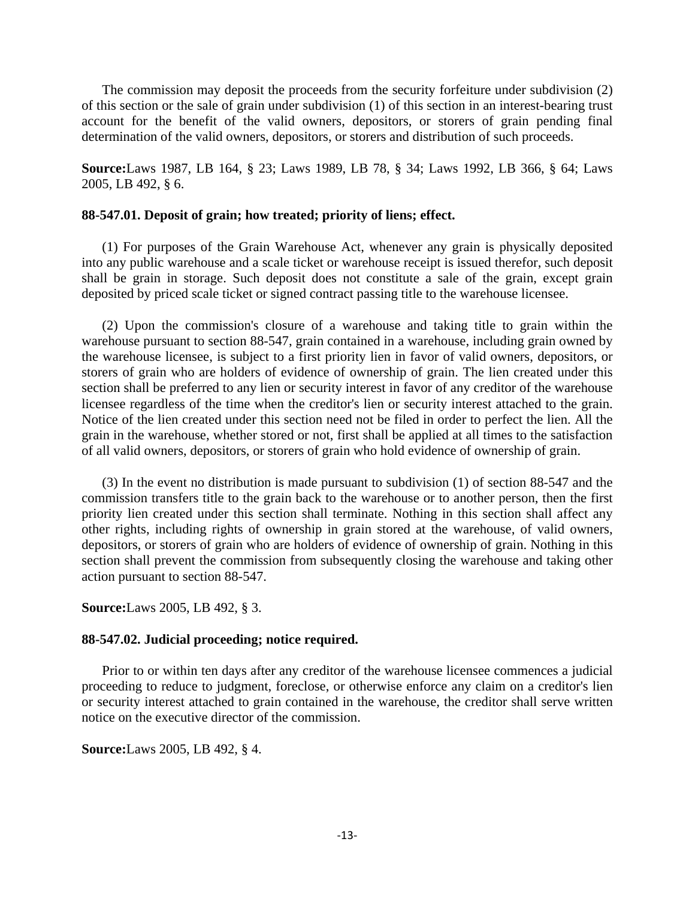The commission may deposit the proceeds from the security forfeiture under subdivision (2) of this section or the sale of grain under subdivision (1) of this section in an interest-bearing trust account for the benefit of the valid owners, depositors, or storers of grain pending final determination of the valid owners, depositors, or storers and distribution of such proceeds.

**Source:**Laws 1987, LB 164, § 23; Laws 1989, LB 78, § 34; Laws 1992, LB 366, § 64; Laws 2005, LB 492, § 6.

# **88-547.01. Deposit of grain; how treated; priority of liens; effect.**

(1) For purposes of the Grain Warehouse Act, whenever any grain is physically deposited into any public warehouse and a scale ticket or warehouse receipt is issued therefor, such deposit shall be grain in storage. Such deposit does not constitute a sale of the grain, except grain deposited by priced scale ticket or signed contract passing title to the warehouse licensee.

(2) Upon the commission's closure of a warehouse and taking title to grain within the warehouse pursuant to section 88-547, grain contained in a warehouse, including grain owned by the warehouse licensee, is subject to a first priority lien in favor of valid owners, depositors, or storers of grain who are holders of evidence of ownership of grain. The lien created under this section shall be preferred to any lien or security interest in favor of any creditor of the warehouse licensee regardless of the time when the creditor's lien or security interest attached to the grain. Notice of the lien created under this section need not be filed in order to perfect the lien. All the grain in the warehouse, whether stored or not, first shall be applied at all times to the satisfaction of all valid owners, depositors, or storers of grain who hold evidence of ownership of grain.

(3) In the event no distribution is made pursuant to subdivision (1) of section 88-547 and the commission transfers title to the grain back to the warehouse or to another person, then the first priority lien created under this section shall terminate. Nothing in this section shall affect any other rights, including rights of ownership in grain stored at the warehouse, of valid owners, depositors, or storers of grain who are holders of evidence of ownership of grain. Nothing in this section shall prevent the commission from subsequently closing the warehouse and taking other action pursuant to section 88-547.

**Source:**Laws 2005, LB 492, § 3.

## **88-547.02. Judicial proceeding; notice required.**

Prior to or within ten days after any creditor of the warehouse licensee commences a judicial proceeding to reduce to judgment, foreclose, or otherwise enforce any claim on a creditor's lien or security interest attached to grain contained in the warehouse, the creditor shall serve written notice on the executive director of the commission.

**Source:**Laws 2005, LB 492, § 4.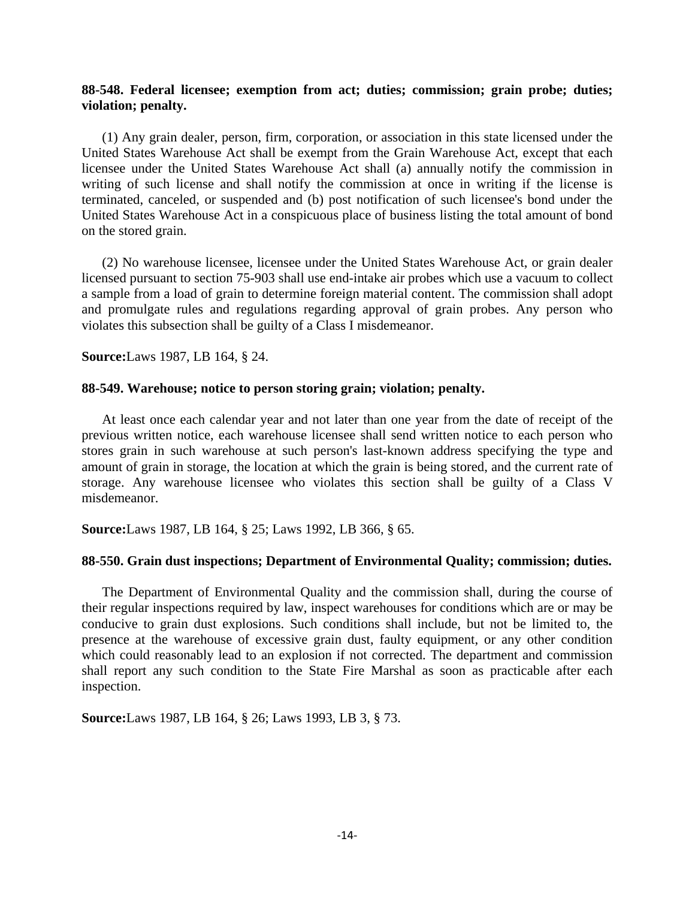# **88-548. Federal licensee; exemption from act; duties; commission; grain probe; duties; violation; penalty.**

(1) Any grain dealer, person, firm, corporation, or association in this state licensed under the United States Warehouse Act shall be exempt from the Grain Warehouse Act, except that each licensee under the United States Warehouse Act shall (a) annually notify the commission in writing of such license and shall notify the commission at once in writing if the license is terminated, canceled, or suspended and (b) post notification of such licensee's bond under the United States Warehouse Act in a conspicuous place of business listing the total amount of bond on the stored grain.

(2) No warehouse licensee, licensee under the United States Warehouse Act, or grain dealer licensed pursuant to section 75-903 shall use end-intake air probes which use a vacuum to collect a sample from a load of grain to determine foreign material content. The commission shall adopt and promulgate rules and regulations regarding approval of grain probes. Any person who violates this subsection shall be guilty of a Class I misdemeanor.

**Source:**Laws 1987, LB 164, § 24.

## **88-549. Warehouse; notice to person storing grain; violation; penalty.**

At least once each calendar year and not later than one year from the date of receipt of the previous written notice, each warehouse licensee shall send written notice to each person who stores grain in such warehouse at such person's last-known address specifying the type and amount of grain in storage, the location at which the grain is being stored, and the current rate of storage. Any warehouse licensee who violates this section shall be guilty of a Class V misdemeanor.

**Source:**Laws 1987, LB 164, § 25; Laws 1992, LB 366, § 65.

## **88-550. Grain dust inspections; Department of Environmental Quality; commission; duties.**

The Department of Environmental Quality and the commission shall, during the course of their regular inspections required by law, inspect warehouses for conditions which are or may be conducive to grain dust explosions. Such conditions shall include, but not be limited to, the presence at the warehouse of excessive grain dust, faulty equipment, or any other condition which could reasonably lead to an explosion if not corrected. The department and commission shall report any such condition to the State Fire Marshal as soon as practicable after each inspection.

**Source:**Laws 1987, LB 164, § 26; Laws 1993, LB 3, § 73.